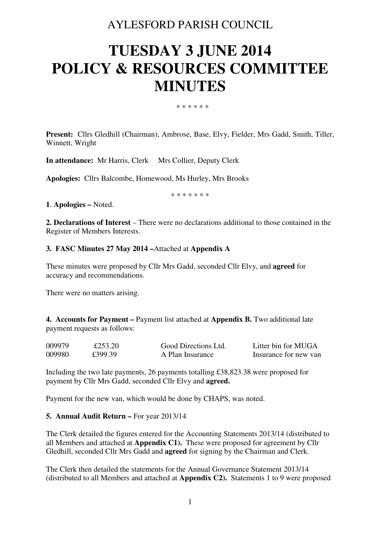# AYLESFORD PARISH COUNCIL

# **TUESDAY 3 JUNE 2014 POLICY & RESOURCES COMMITTEE MINUTES**

\* \* \* \* \* \*

**Present:** Cllrs Gledhill (Chairman), Ambrose, Base, Elvy, Fielder, Mrs Gadd, Smith, Tiller, Winnett, Wright

**In attendance:** Mr Harris, Clerk Mrs Collier, Deputy Clerk

**Apologies:** Cllrs Balcombe, Homewood, Ms Hurley, Mrs Brooks

\* \* \* \* \* \* \*

**1**. **Apologies –** Noted.

**2. Declarations of Interest** – There were no declarations additional to those contained in the Register of Members Interests.

#### **3. FASC Minutes 27 May 2014 –**Attached at **Appendix A**

These minutes were proposed by Cllr Mrs Gadd, seconded Cllr Elvy, and **agreed** for accuracy and recommendations.

There were no matters arising.

**4. Accounts for Payment –** Payment list attached at **Appendix B.** Two additional late payment requests as follows:

| 009979 | £253.20 | Good Directions Ltd. | Litter bin for MUGA   |
|--------|---------|----------------------|-----------------------|
| 009980 | £399.39 | A Plan Insurance     | Insurance for new van |

Including the two late payments, 26 payments totalling £38,823.38 were proposed for payment by Cllr Mrs Gadd, seconded Cllr Elvy and **agreed.** 

Payment for the new van, which would be done by CHAPS, was noted.

#### **5. Annual Audit Return – For year 2013/14**

The Clerk detailed the figures entered for the Accounting Statements 2013/14 (distributed to all Members and attached at **Appendix C1).** These were proposed for agreement by Cllr Gledhill, seconded Cllr Mrs Gadd and **agreed** for signing by the Chairman and Clerk.

The Clerk then detailed the statements for the Annual Governance Statement 2013/14 (distributed to all Members and attached at **Appendix C2).** Statements 1 to 9 were proposed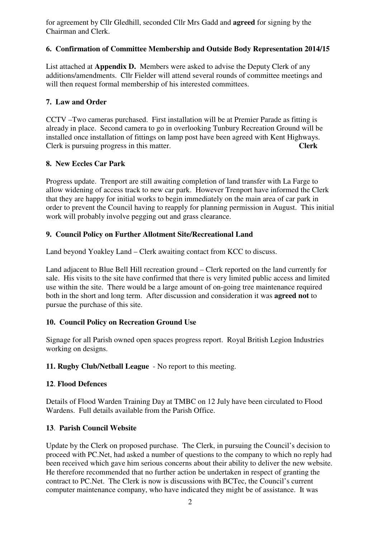for agreement by Cllr Gledhill, seconded Cllr Mrs Gadd and **agreed** for signing by the Chairman and Clerk.

# **6. Confirmation of Committee Membership and Outside Body Representation 2014/15**

List attached at **Appendix D.** Members were asked to advise the Deputy Clerk of any additions/amendments. Cllr Fielder will attend several rounds of committee meetings and will then request formal membership of his interested committees.

# **7. Law and Order**

CCTV –Two cameras purchased. First installation will be at Premier Parade as fitting is already in place. Second camera to go in overlooking Tunbury Recreation Ground will be installed once installation of fittings on lamp post have been agreed with Kent Highways. Clerk is pursuing progress in this matter. **Clerk** 

#### **8. New Eccles Car Park**

Progress update. Trenport are still awaiting completion of land transfer with La Farge to allow widening of access track to new car park. However Trenport have informed the Clerk that they are happy for initial works to begin immediately on the main area of car park in order to prevent the Council having to reapply for planning permission in August. This initial work will probably involve pegging out and grass clearance.

# **9. Council Policy on Further Allotment Site/Recreational Land**

Land beyond Yoakley Land – Clerk awaiting contact from KCC to discuss.

Land adjacent to Blue Bell Hill recreation ground – Clerk reported on the land currently for sale. His visits to the site have confirmed that there is very limited public access and limited use within the site. There would be a large amount of on-going tree maintenance required both in the short and long term. After discussion and consideration it was **agreed not** to pursue the purchase of this site.

# **10. Council Policy on Recreation Ground Use**

Signage for all Parish owned open spaces progress report. Royal British Legion Industries working on designs.

**11. Rugby Club/Netball League** - No report to this meeting.

#### **12**. **Flood Defences**

Details of Flood Warden Training Day at TMBC on 12 July have been circulated to Flood Wardens. Full details available from the Parish Office.

# **13**. **Parish Council Website**

Update by the Clerk on proposed purchase. The Clerk, in pursuing the Council's decision to proceed with PC.Net, had asked a number of questions to the company to which no reply had been received which gave him serious concerns about their ability to deliver the new website. He therefore recommended that no further action be undertaken in respect of granting the contract to PC.Net. The Clerk is now is discussions with BCTec, the Council's current computer maintenance company, who have indicated they might be of assistance. It was